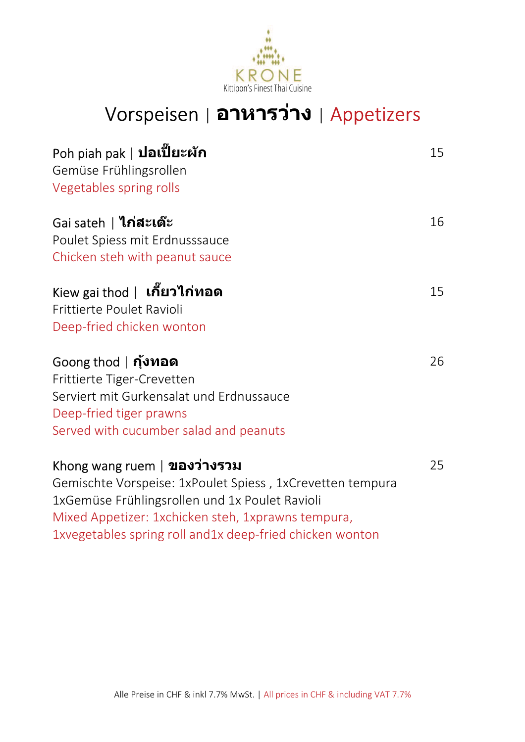

# Vorspeisen | **อาหารว่าง** | Appetizers

| Poh piah pak   <b>ปอเปี๊ยะผัก</b><br>Gemüse Frühlingsrollen<br>Vegetables spring rolls                                                                                                                                                                         | 15 |
|----------------------------------------------------------------------------------------------------------------------------------------------------------------------------------------------------------------------------------------------------------------|----|
| Gai sateh   ไก่สะเต๊ะ<br>Poulet Spiess mit Erdnusssauce<br>Chicken steh with peanut sauce                                                                                                                                                                      | 16 |
| Kiew gai thod   <b>เกี๊ยวไก่ทอด</b><br>Frittierte Poulet Ravioli<br>Deep-fried chicken wonton                                                                                                                                                                  | 15 |
| $G$ oong thod   <b>กุ้งทอด</b><br>Frittierte Tiger-Crevetten<br>Serviert mit Gurkensalat und Erdnussauce<br>Deep-fried tiger prawns<br>Served with cucumber salad and peanuts                                                                                  | 26 |
| Khong wang ruem   ของว่างรวม<br>Gemischte Vorspeise: 1xPoulet Spiess, 1xCrevetten tempura<br>1xGemüse Frühlingsrollen und 1x Poulet Ravioli<br>Mixed Appetizer: 1xchicken steh, 1xprawns tempura,<br>1xvegetables spring roll and 1x deep-fried chicken wonton | 25 |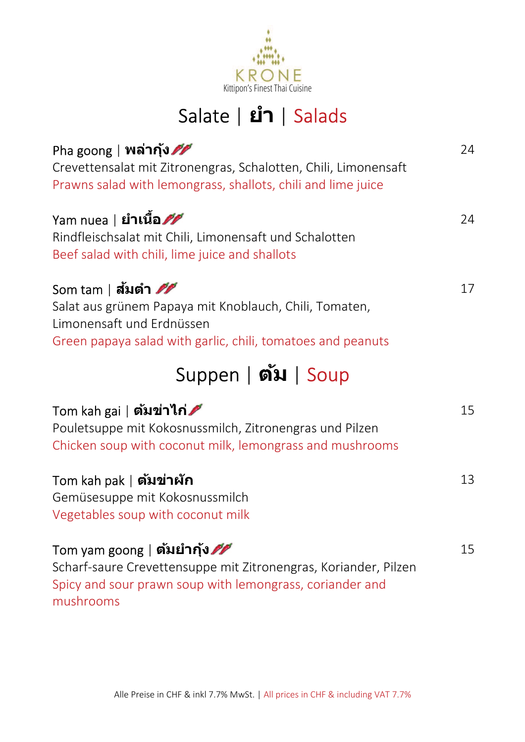

# Salate | **ยํา** | Salads

| Pha goong   <b>พล่ากุ้ง<i>ศั</i></b><br>Crevettensalat mit Zitronengras, Schalotten, Chili, Limonensaft<br>Prawns salad with lemongrass, shallots, chili and lime juice               | 24 |
|---------------------------------------------------------------------------------------------------------------------------------------------------------------------------------------|----|
| Yam nuea   <b>ยำเนื้อ<i>ศศ</i></b><br>Rindfleischsalat mit Chili, Limonensaft und Schalotten<br>Beef salad with chili, lime juice and shallots                                        | 24 |
| Som tam   สัมตำ 22<br>Salat aus grünem Papaya mit Knoblauch, Chili, Tomaten,<br>Limonensaft und Erdnüssen<br>Green papaya salad with garlic, chili, tomatoes and peanuts              | 17 |
| Suppen   ตัม   Soup                                                                                                                                                                   |    |
| Tom kah gai   <b>ต้มข่าไก่⊿</b> ้<br>Pouletsuppe mit Kokosnussmilch, Zitronengras und Pilzen<br>Chicken soup with coconut milk, lemongrass and mushrooms                              | 15 |
| Tom kah pak   ตัมข่าผัก<br>Gemüsesuppe mit Kokosnussmilch<br>Vegetables soup with coconut milk                                                                                        | 13 |
| Tom yam goong   <b>ตัมยำกุ้ง<i>ศั</i></b><br>Scharf-saure Crevettensuppe mit Zitronengras, Koriander, Pilzen<br>Spicy and sour prawn soup with lemongrass, coriander and<br>mushrooms | 15 |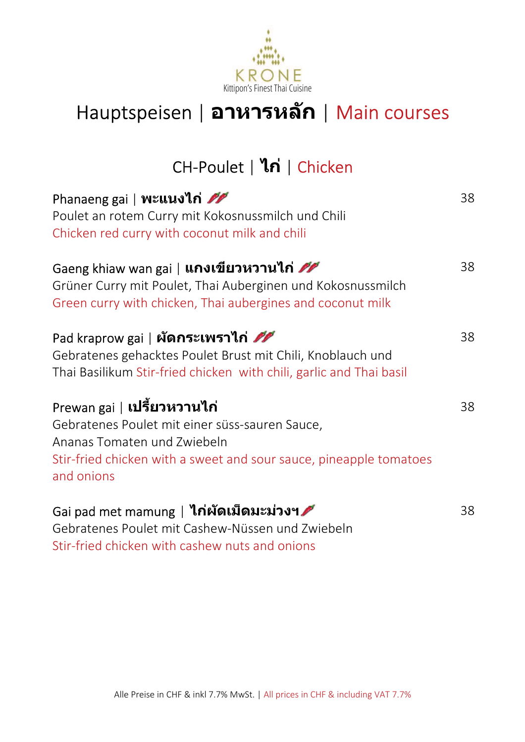

# Hauptspeisen | **อาหารหลัก** | Main courses

### CH-Poulet | **ไก่** | Chicken

| Phanaeng gai   พะแนงไก่<br>Poulet an rotem Curry mit Kokosnussmilch und Chili<br>Chicken red curry with coconut milk and chili                                                                          | 38 |
|---------------------------------------------------------------------------------------------------------------------------------------------------------------------------------------------------------|----|
| Gaeng khiaw wan gai   <b>แกงเขียวหวานไก่ <i>ศัก</i></b><br>Grüner Curry mit Poulet, Thai Auberginen und Kokosnussmilch<br>Green curry with chicken, Thai aubergines and coconut milk                    | 38 |
| Pad kraprow gai   ผัดกระเพราไก่ 22<br>Gebratenes gehacktes Poulet Brust mit Chili, Knoblauch und<br>Thai Basilikum Stir-fried chicken with chili, garlic and Thai basil                                 | 38 |
| Prewan gai   <b>เปรี้ยวหวานไก่</b><br>Gebratenes Poulet mit einer süss-sauren Sauce,<br>Ananas Tomaten und Zwiebeln<br>Stir-fried chicken with a sweet and sour sauce, pineapple tomatoes<br>and onions | 38 |
| Gai pad met mamung   <b>ไก่ผัดเม็ดมะม่วงฯ ∕</b><br>Cohratonos Poulot mit Cashow Nüsson und Zwiebeln                                                                                                     | 38 |

Gebratenes Poulet mit Cashew-Nüssen und Zwiebeln Stir-fried chicken with cashew nuts and onions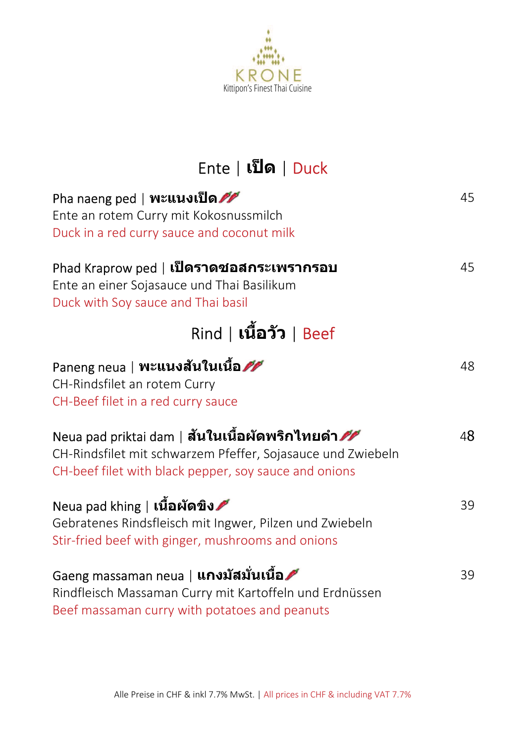

# Ente | **เป็ ด** | Duck

| Pha naeng ped   พะแนงเป็ด<br>Ente an rotem Curry mit Kokosnussmilch<br>Duck in a red curry sauce and coconut milk                                                                | 45 |
|----------------------------------------------------------------------------------------------------------------------------------------------------------------------------------|----|
| Phad Kraprow ped   <b>เป็ดราดชอสกระเพรากรอบ</b><br>Ente an einer Sojasauce und Thai Basilikum<br>Duck with Soy sauce and Thai basil                                              | 45 |
| Rind   <b>เนื้อวัว</b>   Beef                                                                                                                                                    |    |
| Paneng neua   พะแนงสันในเนื้อ<br>CH-Rindsfilet an rotem Curry<br>CH-Beef filet in a red curry sauce                                                                              | 48 |
| Neua pad priktai dam   สันในเนื้อผัดพริกไทยดำ <i>ศัก</i><br>CH-Rindsfilet mit schwarzem Pfeffer, Sojasauce und Zwiebeln<br>CH-beef filet with black pepper, soy sauce and onions | 48 |
| Neua pad khing ∣ <b>เนื้อผัดขิง ∕</b> ั้<br>Gebratenes Rindsfleisch mit Ingwer, Pilzen und Zwiebeln<br>Stir-fried beef with ginger, mushrooms and onions                         | 39 |
| Gaeng massaman neua   <b>แกงมัสมั่นเนื้อ</b><br>Rindfleisch Massaman Curry mit Kartoffeln und Erdnüssen<br>Beef massaman curry with potatoes and peanuts                         | 39 |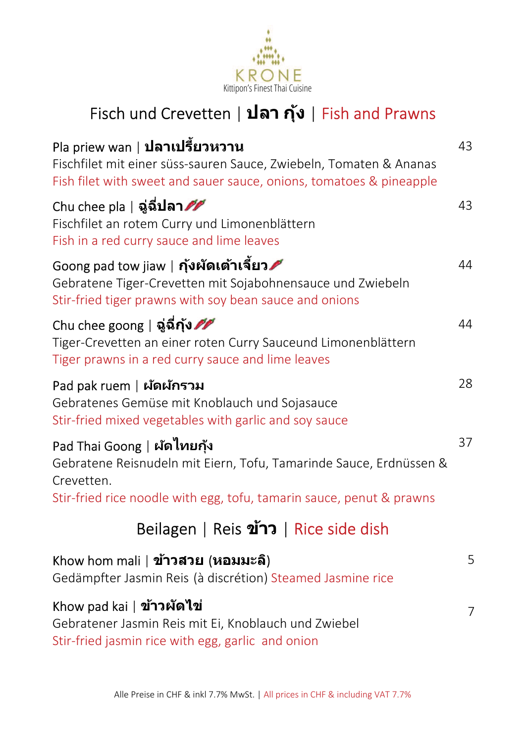

# Fisch und Crevetten | **ปลา กุ้ง** | Fish and Prawns

| $Pla$ priew wan   <b>ปลาเปรี้ยวหวาน</b><br>Fischfilet mit einer süss-sauren Sauce, Zwiebeln, Tomaten & Ananas<br>Fish filet with sweet and sauer sauce, onions, tomatoes & pineapple    | 43 |
|-----------------------------------------------------------------------------------------------------------------------------------------------------------------------------------------|----|
| <code>Chu</code> chee pla   ฉู่ฉี่ <b>ปลา<i>ศ</i></b><br>Fischfilet an rotem Curry und Limonenblättern<br>Fish in a red curry sauce and lime leaves                                     | 43 |
| Goong pad tow jiaw   <b>กุ้งผัดเต้าเจี้ยว ∕</b> ั้<br>Gebratene Tiger-Crevetten mit Sojabohnensauce und Zwiebeln<br>Stir-fried tiger prawns with soy bean sauce and onions              | 44 |
| Chu chee goong   ฉู่ฉี่กุ้ง 22<br>Tiger-Crevetten an einer roten Curry Sauceund Limonenblättern<br>Tiger prawns in a red curry sauce and lime leaves                                    | 44 |
| Pad pak ruem   ผัดผักรวม<br>Gebratenes Gemüse mit Knoblauch und Sojasauce<br>Stir-fried mixed vegetables with garlic and soy sauce                                                      | 28 |
| Pad Thai Goong   ผัดไทยกุ้ง<br>Gebratene Reisnudeln mit Eiern, Tofu, Tamarinde Sauce, Erdnüssen &<br>Crevetten.<br>Stir-fried rice noodle with egg, tofu, tamarin sauce, penut & prawns | 37 |
| Beilagen   Reis ข้าว   Rice side dish                                                                                                                                                   |    |
| Khow hom mali   ข้าวสวย (หอมมะลิ)<br>Gedämpfter Jasmin Reis (à discrétion) Steamed Jasmine rice                                                                                         | 5  |
| Khow pad kai   ข้าวผัดไข่<br>Gebratener Jasmin Reis mit Ei, Knoblauch und Zwiebel<br>Stir-fried jasmin rice with egg, garlic and onion                                                  | 7  |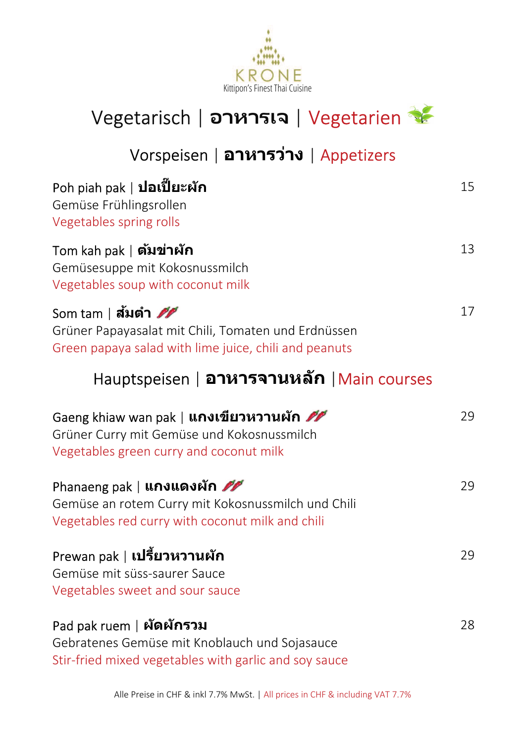



# Vorspeisen | **อาหารว่าง** | Appetizers

| Poh piah pak   <b>ปอเปี๊ยะผัก</b><br>Gemüse Frühlingsrollen<br>Vegetables spring rolls                                                           | 15 |
|--------------------------------------------------------------------------------------------------------------------------------------------------|----|
| Tom kah pak   <b>ตัมข่าผัก</b><br>Gemüsesuppe mit Kokosnussmilch<br>Vegetables soup with coconut milk                                            | 13 |
| Som tam∣ส้มตำ <i>ศศ</i><br>Grüner Papayasalat mit Chili, Tomaten und Erdnüssen<br>Green papaya salad with lime juice, chili and peanuts          | 17 |
| Hauptspeisen   อาหารจานหลัก   Main courses                                                                                                       |    |
| Gaeng khiaw wan pak   <b>แกงเขียวหวานผัก <i>ศัก</i></b><br>Grüner Curry mit Gemüse und Kokosnussmilch<br>Vegetables green curry and coconut milk | 29 |
| Phanaeng pak   <b>แกงแดงผัก 22</b><br>Gemüse an rotem Curry mit Kokosnussmilch und Chili<br>Vegetables red curry with coconut milk and chili     | 29 |
| Prewan pak   <b>เปรี้ยวหวานผัก</b><br>Gemüse mit süss-saurer Sauce<br>Vegetables sweet and sour sauce                                            | 29 |
| Pad pak ruem   ผัดผักรวม<br>Gebratenes Gemüse mit Knoblauch und Sojasauce<br>Stir-fried mixed vegetables with garlic and soy sauce               | 28 |

Alle Preise in CHF & inkl 7.7% MwSt. | All prices in CHF & including VAT 7.7%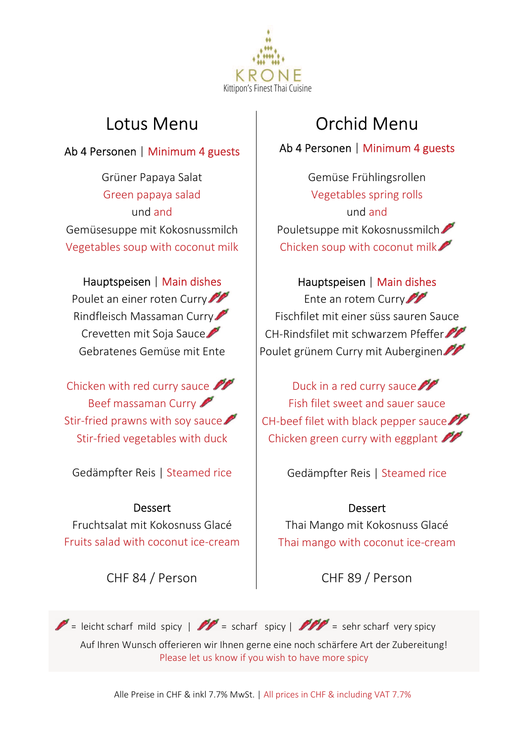

### Lotus Menu

### Ab 4 Personen | Minimum 4 guests

Grüner Papaya Salat Green papaya salad und and Gemüsesuppe mit Kokosnussmilch Vegetables soup with coconut milk

#### Hauptspeisen | Main dishes

Poulet an einer roten Curry Rindfleisch Massaman Curry Crevetten mit Soja Sauce Gebratenes Gemüse mit Ente

Chicken with red curry sauce Beef massaman Curry Stir-fried prawns with soy sauce Stir-fried vegetables with duck

Gedämpfter Reis | Steamed rice

Dessert Fruchtsalat mit Kokosnuss Glacé Fruits salad with coconut ice-cream

CHF 84 / Person

# Orchid Menu

Ab 4 Personen | Minimum 4 guests

Gemüse Frühlingsrollen Vegetables spring rolls und and Pouletsuppe mit Kokosnussmilch Chicken soup with coconut milk

Hauptspeisen | Main dishes Ente an rotem Curry Fischfilet mit einer süss sauren Sauce CH-Rindsfilet mit schwarzem Pfeffer Poulet grünem Curry mit Auberginen

Duck in a red curry sauce Fish filet sweet and sauer sauce CH-beef filet with black pepper sauce Chicken green curry with eggplant  $\mathscr{P}$ 

Gedämpfter Reis | Steamed rice

### **Dessert**

Thai Mango mit Kokosnuss Glacé Thai mango with coconut ice-cream

CHF 89 / Person

 $\mathscr{P}$  = leicht scharf mild spicy |  $\mathscr{P}$  = scharf spicy |  $\mathscr{P}$  = sehr scharf very spicy Auf Ihren Wunsch offerieren wir Ihnen gerne eine noch schärfere Art der Zubereitung! Please let us know if you wish to have more spicy

Alle Preise in CHF & inkl 7.7% MwSt. | All prices in CHF & including VAT 7.7%